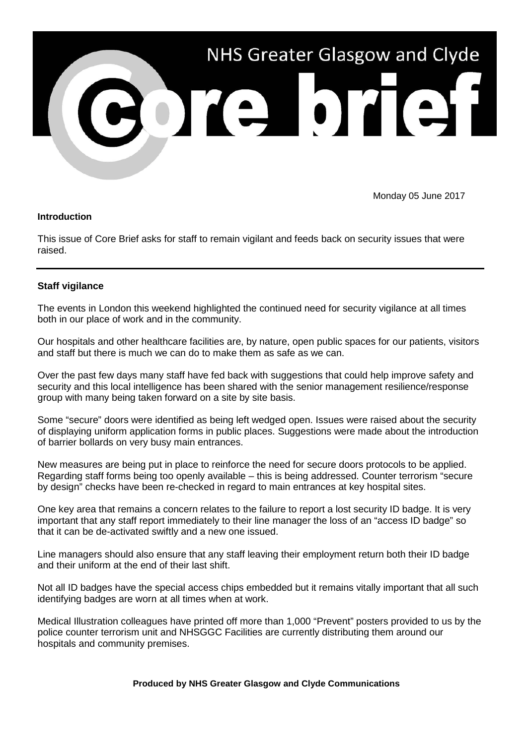

Monday 05 June 2017

## **Introduction**

This issue of Core Brief asks for staff to remain vigilant and feeds back on security issues that were raised.

## **Staff vigilance**

The events in London this weekend highlighted the continued need for security vigilance at all times both in our place of work and in the community.

Our hospitals and other healthcare facilities are, by nature, open public spaces for our patients, visitors and staff but there is much we can do to make them as safe as we can.

Over the past few days many staff have fed back with suggestions that could help improve safety and security and this local intelligence has been shared with the senior management resilience/response group with many being taken forward on a site by site basis.

Some "secure" doors were identified as being left wedged open. Issues were raised about the security of displaying uniform application forms in public places. Suggestions were made about the introduction of barrier bollards on very busy main entrances.

New measures are being put in place to reinforce the need for secure doors protocols to be applied. Regarding staff forms being too openly available – this is being addressed. Counter terrorism "secure by design" checks have been re-checked in regard to main entrances at key hospital sites.

One key area that remains a concern relates to the failure to report a lost security ID badge. It is very important that any staff report immediately to their line manager the loss of an "access ID badge" so that it can be de-activated swiftly and a new one issued.

Line managers should also ensure that any staff leaving their employment return both their ID badge and their uniform at the end of their last shift.

Not all ID badges have the special access chips embedded but it remains vitally important that all such identifying badges are worn at all times when at work.

Medical Illustration colleagues have printed off more than 1,000 "Prevent" posters provided to us by the police counter terrorism unit and NHSGGC Facilities are currently distributing them around our hospitals and community premises.